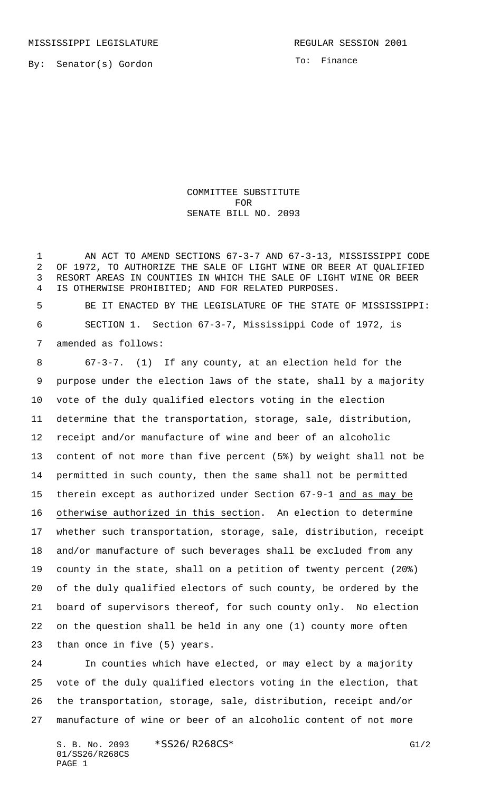To: Finance

COMMITTEE SUBSTITUTE FOR SENATE BILL NO. 2093

1 AN ACT TO AMEND SECTIONS 67-3-7 AND 67-3-13, MISSISSIPPI CODE OF 1972, TO AUTHORIZE THE SALE OF LIGHT WINE OR BEER AT QUALIFIED RESORT AREAS IN COUNTIES IN WHICH THE SALE OF LIGHT WINE OR BEER IS OTHERWISE PROHIBITED; AND FOR RELATED PURPOSES.

 BE IT ENACTED BY THE LEGISLATURE OF THE STATE OF MISSISSIPPI: SECTION 1. Section 67-3-7, Mississippi Code of 1972, is amended as follows:

 67-3-7. (1) If any county, at an election held for the purpose under the election laws of the state, shall by a majority vote of the duly qualified electors voting in the election determine that the transportation, storage, sale, distribution, receipt and/or manufacture of wine and beer of an alcoholic content of not more than five percent (5%) by weight shall not be permitted in such county, then the same shall not be permitted therein except as authorized under Section 67-9-1 and as may be otherwise authorized in this section. An election to determine whether such transportation, storage, sale, distribution, receipt and/or manufacture of such beverages shall be excluded from any county in the state, shall on a petition of twenty percent (20%) of the duly qualified electors of such county, be ordered by the board of supervisors thereof, for such county only. No election on the question shall be held in any one (1) county more often than once in five (5) years.

 In counties which have elected, or may elect by a majority vote of the duly qualified electors voting in the election, that the transportation, storage, sale, distribution, receipt and/or manufacture of wine or beer of an alcoholic content of not more

S. B. No. 2093 \* SS26/R268CS\* G1/2 01/SS26/R268CS PAGE 1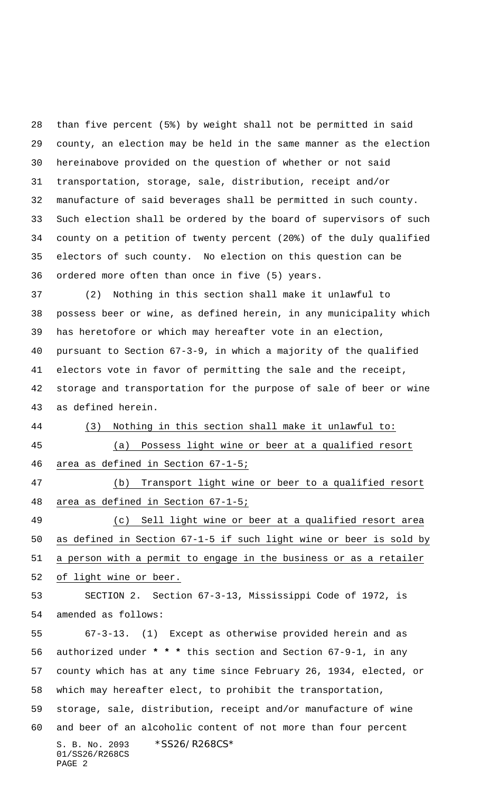than five percent (5%) by weight shall not be permitted in said county, an election may be held in the same manner as the election hereinabove provided on the question of whether or not said transportation, storage, sale, distribution, receipt and/or manufacture of said beverages shall be permitted in such county. Such election shall be ordered by the board of supervisors of such county on a petition of twenty percent (20%) of the duly qualified electors of such county. No election on this question can be ordered more often than once in five (5) years.

 (2) Nothing in this section shall make it unlawful to possess beer or wine, as defined herein, in any municipality which has heretofore or which may hereafter vote in an election, pursuant to Section 67-3-9, in which a majority of the qualified electors vote in favor of permitting the sale and the receipt, storage and transportation for the purpose of sale of beer or wine as defined herein.

(3) Nothing in this section shall make it unlawful to:

 (a) Possess light wine or beer at a qualified resort area as defined in Section 67-1-5;

 (b) Transport light wine or beer to a qualified resort area as defined in Section 67-1-5;

 (c) Sell light wine or beer at a qualified resort area as defined in Section 67-1-5 if such light wine or beer is sold by a person with a permit to engage in the business or as a retailer of light wine or beer.

 SECTION 2. Section 67-3-13, Mississippi Code of 1972, is amended as follows:

S. B. No. 2093 \*SS26/R268CS\* 01/SS26/R268CS PAGE 2 67-3-13. (1) Except as otherwise provided herein and as authorized under **\* \* \*** this section and Section 67-9-1, in any county which has at any time since February 26, 1934, elected, or which may hereafter elect, to prohibit the transportation, storage, sale, distribution, receipt and/or manufacture of wine and beer of an alcoholic content of not more than four percent